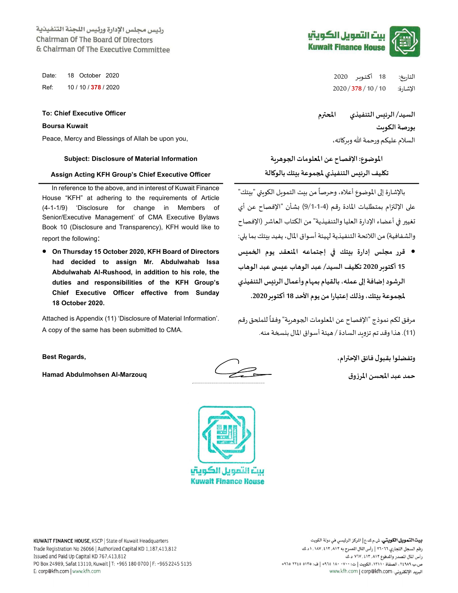رئيس مجلس الإدارة ورئيس اللجنة التنفيذية Chairman Of The Board Of Directors & Chairman Of The Executive Committee

Peace, Mercy and Blessings of Allah be upon you, ،اتهɠرȋو الله ورحمة عليكم السلام

## الموضوع: الإفصاح عن المعلومات اݍݨوɸرʈة Information Material of Disclosure :Subject

## Assign Acting KFH Group's Chief Executive Officer

In reference to the above, and in interest of Kuwait Finance House "KFH" at adhering to the requirements of Article (4-1-1/9) 'Disclosure for change in Members of Senior/Executive Management' of CMA Executive Bylaws Book 10 (Disclosure and Transparency), KFH would like to report the following:

● قرر مجلس إدارة بيتك في إجتماعه المنعقد يوم الخميس On Thursday 15 October 2020, KFH Board of Directors had decided to assign Mr. Abdulwahab Issa Abdulwahab Al-Rushood, in addition to his role, the duties and responsibilities of the KFH Group's Chief Executive Officer effective from Sunday 18 October 2020.

Attached is Appendix (11) 'Disclosure of Material Information'. A copy of the same has been submitted to CMA.

حمد عبد اݝݰسن المرزوق Marzouq-Al Abdulmohsen Hamad



ستا التمويل الكويتيا **Kuwait Finance House** 







التاريخ: 18 أكتـوبر 2020 201 .<br>التاريخ: 18 أكتـوبر 2020 2020 2020 20 2020 / :Ref الإشارة: 10 / 10 / 378 / 2020 378 / 10 / 10

السيد/ الرئʋس التنفيذي اݝݰفم Officer Executive Chief :To

تكليف الرئيس التنفيذي لمجموعة بيتك بالوكالة

.<br>بالإشارة إلى الموضوع أعلاه، وحرصاً من بيت التمويل الكويتي "بيتك" على الإلتزام بمتطلبات المادة رقم (4-1-9/1) بشأن "الإفصاح عن أي<br>تغيير في أعضاء الإدارة العليا والتنفيذية" من الكتاب العاشر (الإفصاح والشفافية) من اللائحة التنفيذية لهيئة أسواق المال، يفيد بنتك بما يلي:

15 أكتوبر 2020 تكليف السيد/ عبد الوهاب عبسى عبد الوهاب الرشود إضافة إلى عمله، بالقيام بمهام وأعمال الرئيس التنفيذي .2020 رȋأكتو <sup>18</sup> الأحد يوم وذلكإعتبارامن،تكʋب ݝݨموعة On Thursday 15 October 2020, KFH Board of Directors

> مرفق لكم نموذج "الإفصاح عن المعلومات الجوهرية" وفقاً للملحق رقم (11). ɸذاوقد تم تزوʈد السادة / ɸيئة أسواق المال بɴܦݵةمنه.

وتفضلوا بقبول فائق الإحفام، ,Regards Best

بورصة الكوʈت Kuwait Boursa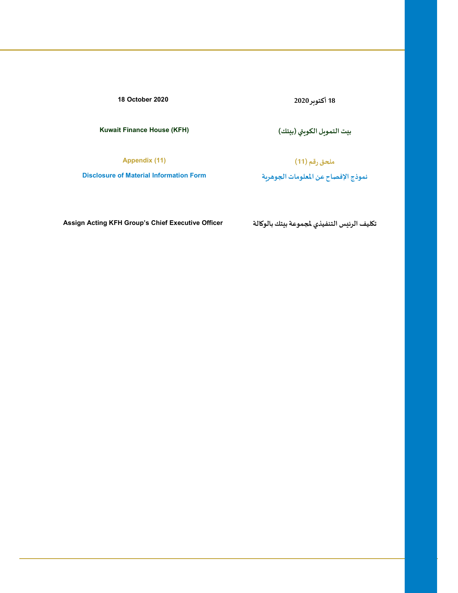18 أكتوȋر 2020 2020 October 18

بʋت التموʈل الكوʈۘܣ (بʋتك) (KFH (House Finance Kuwait

ملحق رقم (11) (11) Appendix (11)

نموذج الإفصاح عن المعلومات الجوهرية الإفصاح عن المعلومات الجوهرية Form Information Form information Form of Material Information Form

تكليف الرئيس التنفيذي لمجموعة بيتك بالوكالة " Assign Acting KFH Group's Chief Executive Officer